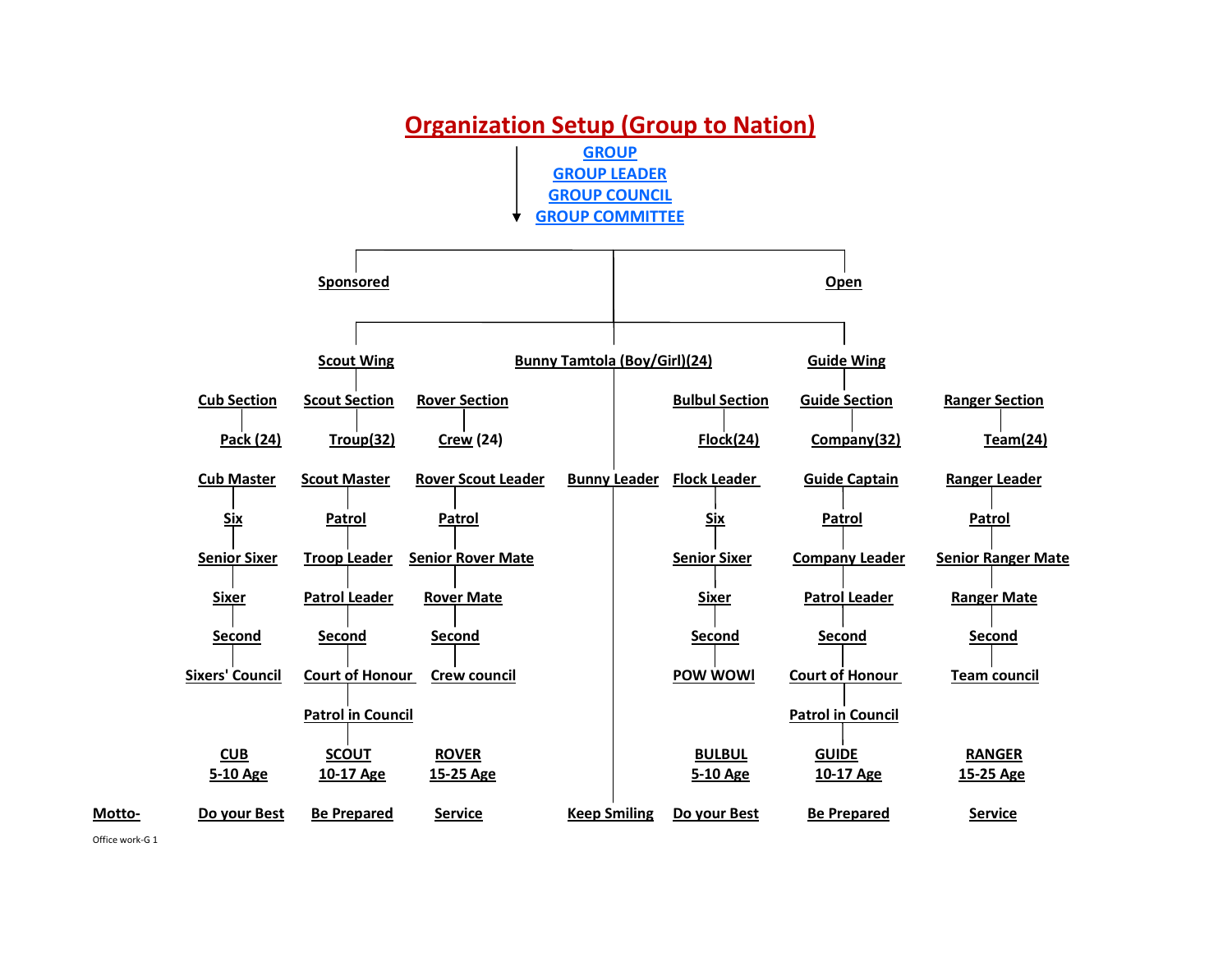# **Organization Setup (Group to Nation)**

**GROUP GROUP LEADER GROUP COUNCILGROUP COMMITTEE**



Office work-G 1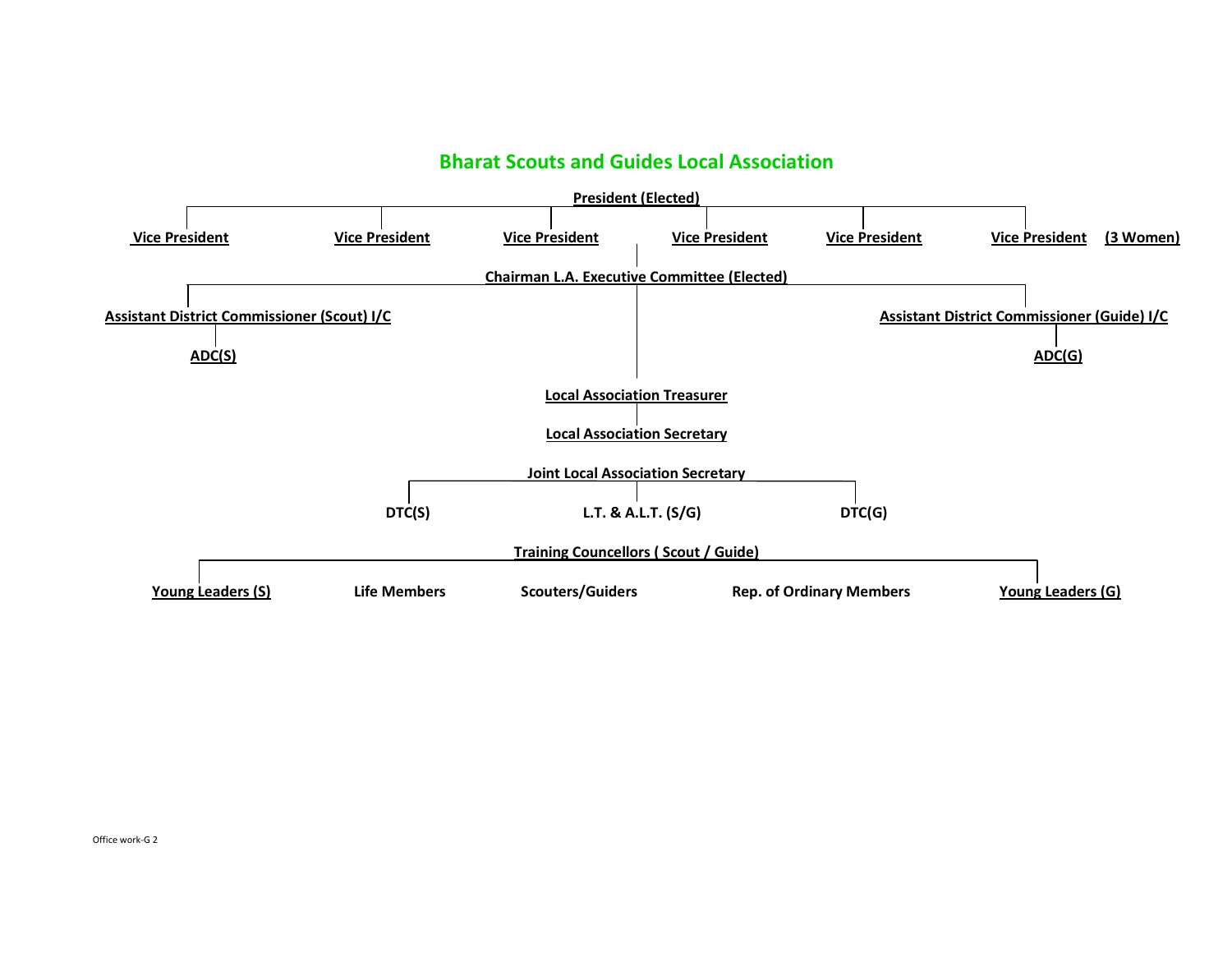

## **Bharat Scouts and Guides Local Association**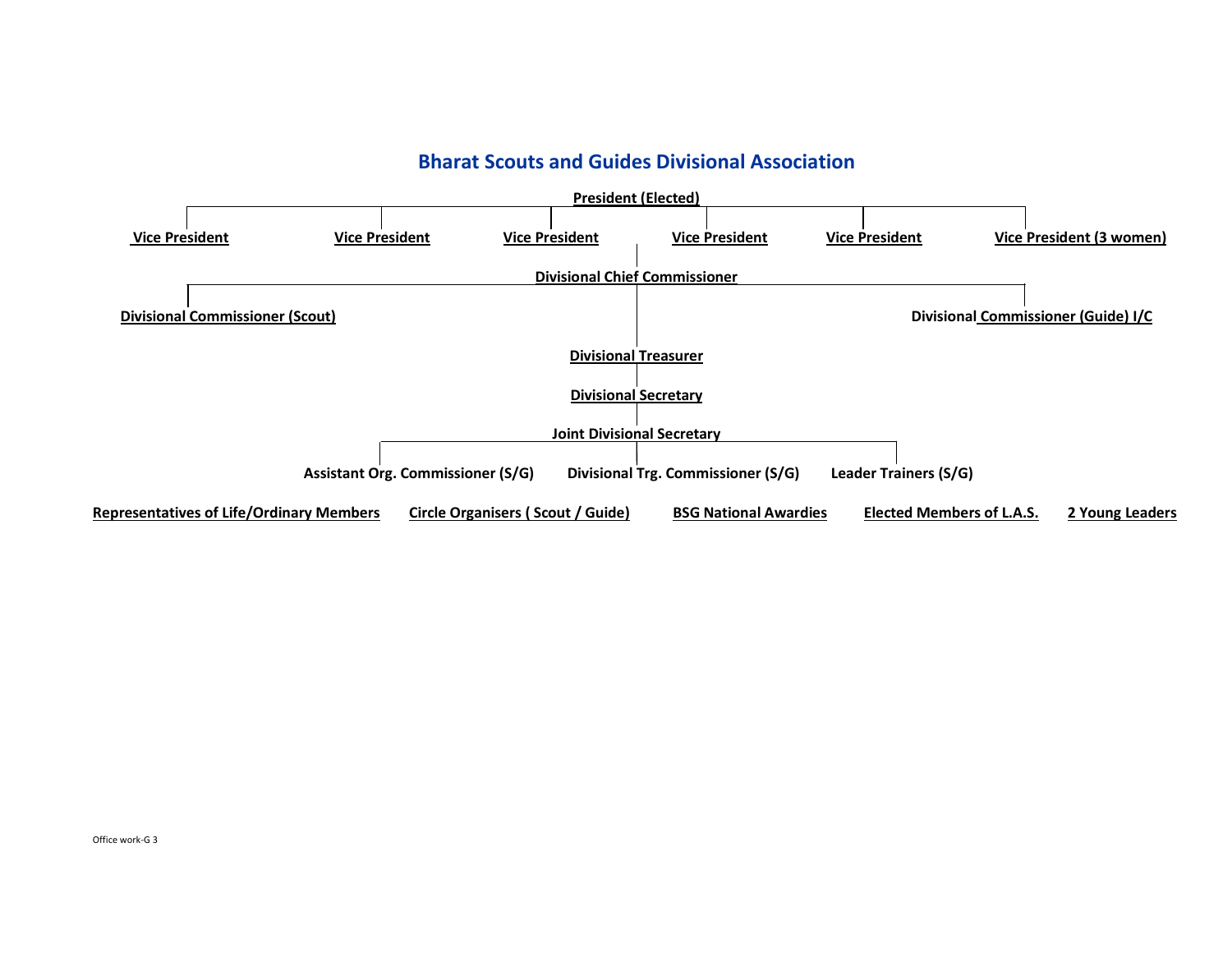

### **Bharat Scouts and Guides Divisional Association**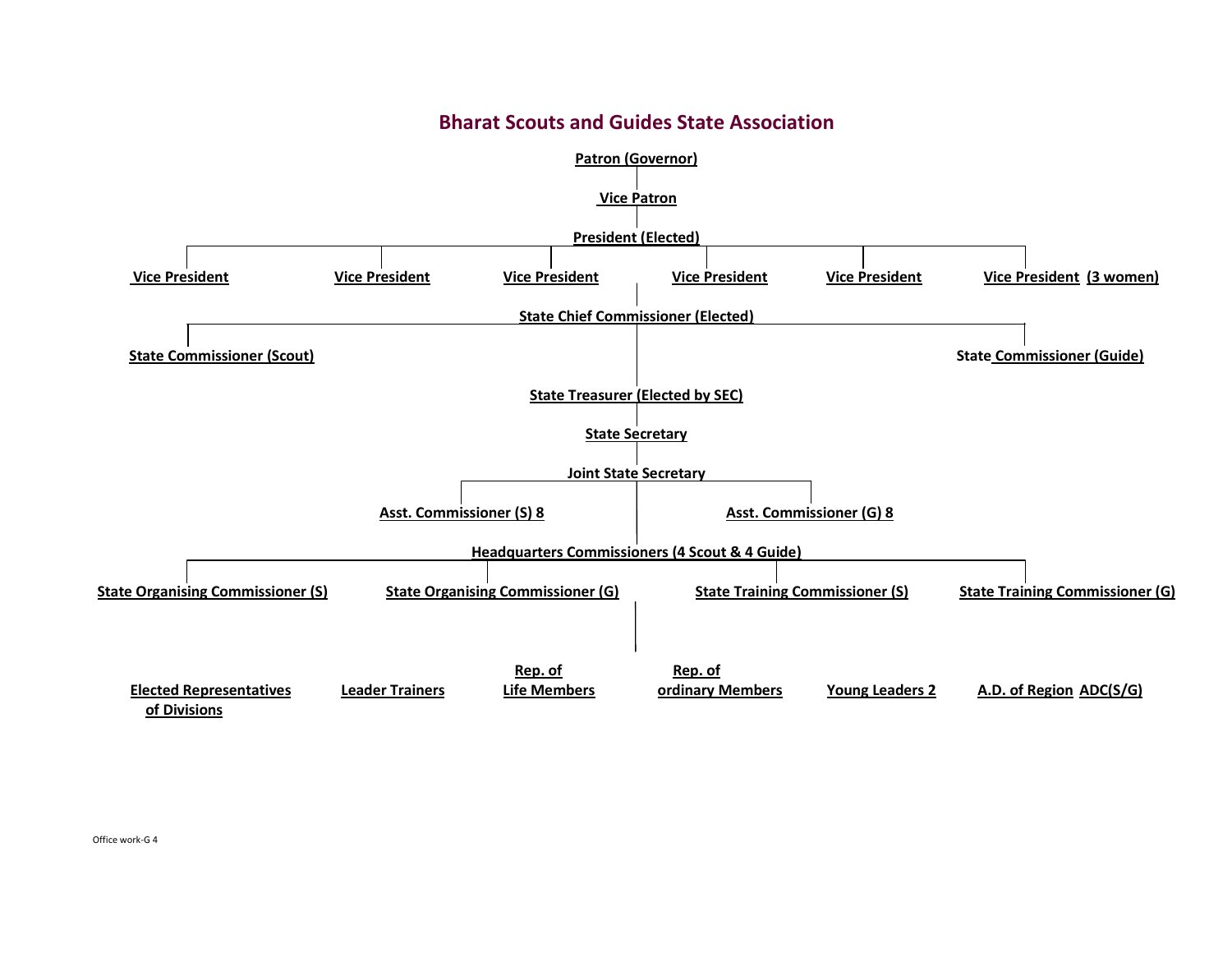

### **Bharat Scouts and Guides State Association**